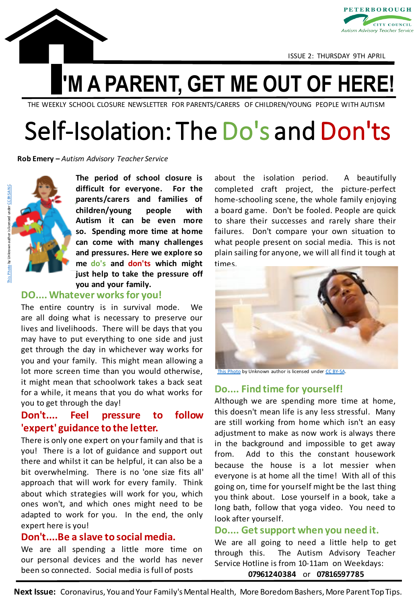



ISSUE 2: THURSDAY 9TH APRIL

## **'M A PARENT, GET ME OUT OF HERE!**

THE WEEKLY SCHOOL CLOSURE NEWSLETTER FOR PARENTS/CARERS OF CHILDREN/YOUNG PEOPLE WITH AUTISM

## Self-Isolation: The Do's and Don'ts

**Rob Emery –** *Autism Advisory Teacher Service*



**The period of school closure is difficult for everyone. For the parents/carers and families of children/young people with Autism it can be even more so. Spending more time at home can come with many challenges and pressures. Here we explore so me do's and don'ts which might just help to take the pressure off you and your family.**

#### **DO.... Whatever worksfor you!**

The entire country is in survival mode. We are all doing what is necessary to preserve our lives and livelihoods. There will be days that you may have to put everything to one side and just get through the day in whichever way works for you and your family. This might mean allowing a lot more screen time than you would otherwise, it might mean that schoolwork takes a back seat for a while, it means that you do what works for you to get through the day!

#### **Don't.... Feel pressure to follow 'expert' guidance to the letter.**

There is only one expert on your family and that is you! There is a lot of guidance and support out there and whilst it can be helpful, it can also be a bit overwhelming. There is no 'one size fits all' approach that will work for every family. Think about which strategies will work for you, which ones won't, and which ones might need to be adapted to work for you. In the end, the only expert here is you!

#### **Don't....Be a slave to social media.**

We are all spending a little more time on our personal devices and the world has never been so connected. Social media is full of posts

about the isolation period. A beautifully completed craft project, the picture-perfect home-schooling scene, the whole family enjoying a board game. Don't be fooled. People are quick to share their successes and rarely share their failures. Don't compare your own situation to what people present on social media. This is not plain sailing for anyone, we will all find it tough at times.



[This Photo](http://mochamanual.com/2012/09/05/tips-for-tackling-moms-to-do-list/) by Unknown author is licensed under [CC BY-SA.](https://creativecommons.org/licenses/by-sa/3.0/)

#### **Do.... Find time for yourself!**

Although we are spending more time at home, this doesn't mean life is any less stressful. Many are still working from home which isn't an easy adjustment to make as now work is always there in the background and impossible to get away from. Add to this the constant housework because the house is a lot messier when everyone is at home all the time! With all of this going on, time for yourself might be the last thing you think about. Lose yourself in a book, take a long bath, follow that yoga video. You need to look after yourself.

#### **Do.... Getsupport when you need it.**

We are all going to need a little help to get through this. The Autism Advisory Teacher Service Hotline is from 10-11am on Weekdays: **07961240384** or **07816597785**

**Next Issue:** Coronavirus, You and Your Family's Mental Health, More Boredom Bashers, More Parent Top Tips.